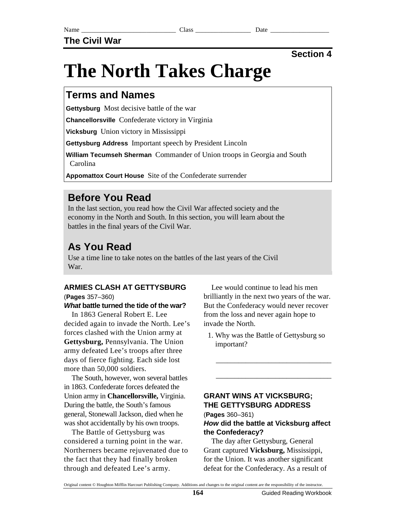## **Section 4**

# **The North Takes Charge**

## **Terms and Names**

**Gettysburg** Most decisive battle of the war

**Chancellorsville** Confederate victory in Virginia

**Vicksburg** Union victory in Mississippi

**Gettysburg Address** Important speech by President Lincoln

**William Tecumseh Sherman** Commander of Union troops in Georgia and South Carolina

**Appomattox Court House** Site of the Confederate surrender

# **Before You Read**

In the last section, you read how the Civil War affected society and the economy in the North and South. In this section, you will learn about the battles in the final years of the Civil War.

## **As You Read**

Use a time line to take notes on the battles of the last years of the Civil War.

## **ARMIES CLASH AT GETTYSBURG**

(**Pages** 357–360)

#### **What battle turned the tide of the war?**

In 1863 General Robert E. Lee decided again to invade the North. Lee's forces clashed with the Union army at **Gettysburg,** Pennsylvania. The Union army defeated Lee's troops after three days of fierce fighting. Each side lost more than 50,000 soldiers.

The South, however, won several battles in 1863. Confederate forces defeated the Union army in **Chancellorsville,** Virginia. During the battle, the South's famous general, Stonewall Jackson, died when he was shot accidentally by his own troops.

The Battle of Gettysburg was considered a turning point in the war. Northerners became rejuvenated due to the fact that they had finally broken through and defeated Lee's army.

Lee would continue to lead his men brilliantly in the next two years of the war. But the Confederacy would never recover from the loss and never again hope to invade the North.

 1. Why was the Battle of Gettysburg so important?

\_\_\_\_\_\_\_\_\_\_\_\_\_\_\_\_\_\_\_\_\_\_\_\_\_\_\_\_\_\_\_

\_\_\_\_\_\_\_\_\_\_\_\_\_\_\_\_\_\_\_\_\_\_\_\_\_\_\_\_\_\_\_

#### **GRANT WINS AT VICKSBURG; THE GETTYSBURG ADDRESS**  (**Pages** 360–361) **How did the battle at Vicksburg affect the Confederacy?**

The day after Gettysburg, General Grant captured **Vicksburg,** Mississippi, for the Union. It was another significant defeat for the Confederacy. As a result of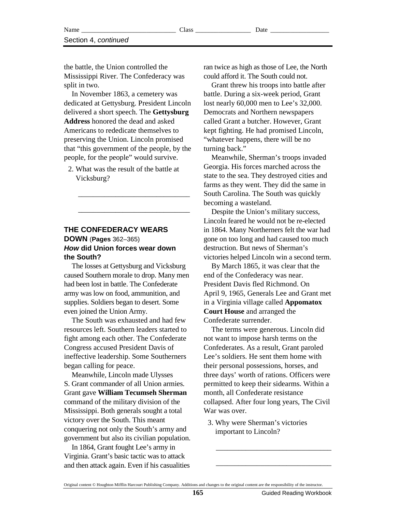the battle, the Union controlled the Mississippi River. The Confederacy was split in two.

In November 1863, a cemetery was dedicated at Gettysburg. President Lincoln delivered a short speech. The **Gettysburg Address** honored the dead and asked Americans to rededicate themselves to preserving the Union. Lincoln promised that "this government of the people, by the people, for the people" would survive.

 2. What was the result of the battle at Vicksburg?

\_\_\_\_\_\_\_\_\_\_\_\_\_\_\_\_\_\_\_\_\_\_\_\_\_\_\_\_\_\_

\_\_\_\_\_\_\_\_\_\_\_\_\_\_\_\_\_\_\_\_\_\_\_\_\_\_\_\_\_\_

## **THE CONFEDERACY WEARS DOWN** (**Pages** 362–365) **How did Union forces wear down the South?**

The losses at Gettysburg and Vicksburg caused Southern morale to drop. Many men had been lost in battle. The Confederate army was low on food, ammunition, and supplies. Soldiers began to desert. Some even joined the Union Army.

The South was exhausted and had few resources left. Southern leaders started to fight among each other. The Confederate Congress accused President Davis of ineffective leadership. Some Southerners began calling for peace.

Meanwhile, Lincoln made Ulysses S. Grant commander of all Union armies. Grant gave **William Tecumseh Sherman** command of the military division of the Mississippi. Both generals sought a total victory over the South. This meant conquering not only the South's army and government but also its civilian population.

In 1864, Grant fought Lee's army in Virginia. Grant's basic tactic was to attack and then attack again. Even if his casualities ran twice as high as those of Lee, the North could afford it. The South could not.

Grant threw his troops into battle after battle. During a six-week period, Grant lost nearly 60,000 men to Lee's 32,000. Democrats and Northern newspapers called Grant a butcher. However, Grant kept fighting. He had promised Lincoln, "whatever happens, there will be no turning back."

Meanwhile, Sherman's troops invaded Georgia. His forces marched across the state to the sea. They destroyed cities and farms as they went. They did the same in South Carolina. The South was quickly becoming a wasteland.

Despite the Union's military success, Lincoln feared he would not be re-elected in 1864. Many Northerners felt the war had gone on too long and had caused too much destruction. But news of Sherman's victories helped Lincoln win a second term.

By March 1865, it was clear that the end of the Confederacy was near. President Davis fled Richmond. On April 9, 1965, Generals Lee and Grant met in a Virginia village called **Appomatox Court House** and arranged the Confederate surrender.

The terms were generous. Lincoln did not want to impose harsh terms on the Confederates. As a result, Grant paroled Lee's soldiers. He sent them home with their personal possessions, horses, and three days' worth of rations. Officers were permitted to keep their sidearms. Within a month, all Confederate resistance collapsed. After four long years, The Civil War was over.

 3. Why were Sherman's victories important to Lincoln?

\_\_\_\_\_\_\_\_\_\_\_\_\_\_\_\_\_\_\_\_\_\_\_\_\_\_\_\_\_\_\_

\_\_\_\_\_\_\_\_\_\_\_\_\_\_\_\_\_\_\_\_\_\_\_\_\_\_\_\_\_\_\_

Original content © Houghton Mifflin Harcourt Publishing Company. Additions and changes to the original content are the responsibility of the instructor.